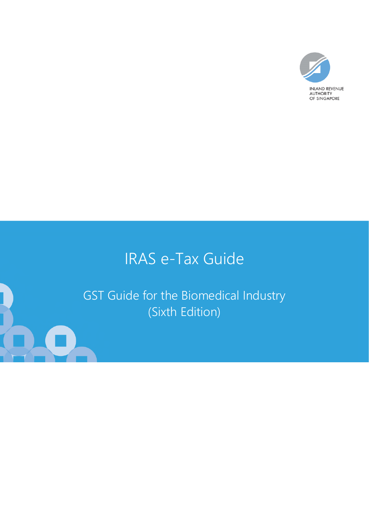

# IRAS e-Tax Guide

GST Guide for the Biomedical Industry (Sixth Edition)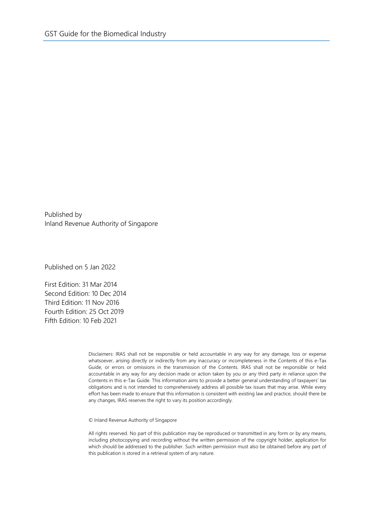Published by Inland Revenue Authority of Singapore

Published on 5 Jan 2022

First Edition: 31 Mar 2014 Second Edition: 10 Dec 2014 Third Edition: 11 Nov 2016 Fourth Edition: 25 Oct 2019 Fifth Edition: 10 Feb 2021

> Disclaimers: IRAS shall not be responsible or held accountable in any way for any damage, loss or expense whatsoever, arising directly or indirectly from any inaccuracy or incompleteness in the Contents of this e-Tax Guide, or errors or omissions in the transmission of the Contents. IRAS shall not be responsible or held accountable in any way for any decision made or action taken by you or any third party in reliance upon the Contents in this e-Tax Guide. This information aims to provide a better general understanding of taxpayers' tax obligations and is not intended to comprehensively address all possible tax issues that may arise. While every effort has been made to ensure that this information is consistent with existing law and practice, should there be any changes, IRAS reserves the right to vary its position accordingly.

© Inland Revenue Authority of Singapore

All rights reserved. No part of this publication may be reproduced or transmitted in any form or by any means, including photocopying and recording without the written permission of the copyright holder, application for which should be addressed to the publisher. Such written permission must also be obtained before any part of this publication is stored in a retrieval system of any nature.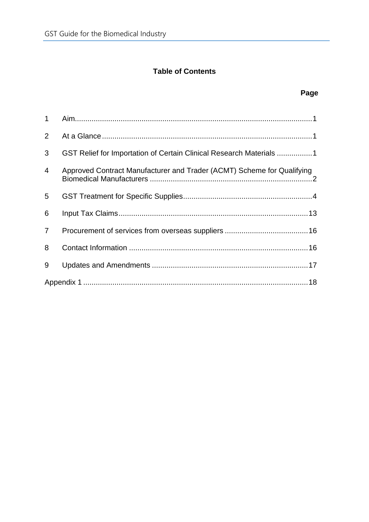# **Table of Contents**

## **Page**

| 2              |                                                                        |  |  |
|----------------|------------------------------------------------------------------------|--|--|
| 3              | GST Relief for Importation of Certain Clinical Research Materials 1    |  |  |
| $\overline{4}$ | Approved Contract Manufacturer and Trader (ACMT) Scheme for Qualifying |  |  |
| 5              |                                                                        |  |  |
| 6              |                                                                        |  |  |
| $\overline{7}$ |                                                                        |  |  |
| 8              |                                                                        |  |  |
| 9              |                                                                        |  |  |
|                |                                                                        |  |  |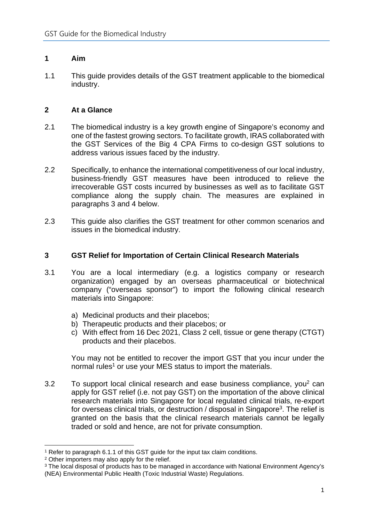#### **1 Aim**

1.1 This guide provides details of the GST treatment applicable to the biomedical industry.

### **2 At a Glance**

- 2.1 The biomedical industry is a key growth engine of Singapore's economy and one of the fastest growing sectors. To facilitate growth, IRAS collaborated with the GST Services of the Big 4 CPA Firms to co-design GST solutions to address various issues faced by the industry.
- 2.2 Specifically, to enhance the international competitiveness of our local industry, business-friendly GST measures have been introduced to relieve the irrecoverable GST costs incurred by businesses as well as to facilitate GST compliance along the supply chain. The measures are explained in paragraphs 3 and 4 below.
- 2.3 This guide also clarifies the GST treatment for other common scenarios and issues in the biomedical industry.

### **3 GST Relief for Importation of Certain Clinical Research Materials**

- 3.1 You are a local intermediary (e.g. a logistics company or research organization) engaged by an overseas pharmaceutical or biotechnical company ("overseas sponsor") to import the following clinical research materials into Singapore:
	- a) Medicinal products and their placebos;
	- b) Therapeutic products and their placebos; or
	- c) With effect from 16 Dec 2021, Class 2 cell, tissue or gene therapy (CTGT) products and their placebos.

You may not be entitled to recover the import GST that you incur under the normal rules<sup>1</sup> or use your MES status to import the materials.

3.2 To support local clinical research and ease business compliance, you<sup>2</sup> can apply for GST relief (i.e. not pay GST) on the importation of the above clinical research materials into Singapore for local regulated clinical trials, re-export for overseas clinical trials, or destruction / disposal in Singapore<sup>3</sup>. The relief is granted on the basis that the clinical research materials cannot be legally traded or sold and hence, are not for private consumption.

<sup>&</sup>lt;sup>1</sup> Refer to paragraph 6.1.1 of this GST guide for the input tax claim conditions.

<sup>2</sup> Other importers may also apply for the relief.

<sup>&</sup>lt;sup>3</sup> The local disposal of products has to be managed in accordance with National Environment Agency's (NEA) Environmental Public Health (Toxic Industrial Waste) Regulations.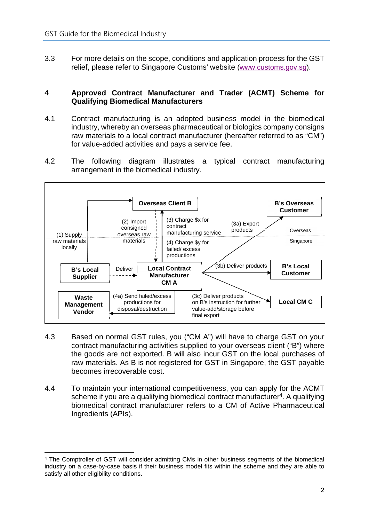3.3 For more details on the scope, conditions and application process for the GST relief, please refer to Singapore Customs' website (www.customs.gov.sg).

#### **4 Approved Contract Manufacturer and Trader (ACMT) Scheme for Qualifying Biomedical Manufacturers**

- 4.1 Contract manufacturing is an adopted business model in the biomedical industry, whereby an overseas pharmaceutical or biologics company consigns raw materials to a local contract manufacturer (hereafter referred to as "CM") for value-added activities and pays a service fee.
- 4.2 The following diagram illustrates a typical contract manufacturing arrangement in the biomedical industry.



- 4.3 Based on normal GST rules, you ("CM A") will have to charge GST on your contract manufacturing activities supplied to your overseas client ("B") where the goods are not exported. B will also incur GST on the local purchases of raw materials. As B is not registered for GST in Singapore, the GST payable becomes irrecoverable cost.
- 4.4 To maintain your international competitiveness, you can apply for the ACMT scheme if you are a qualifying biomedical contract manufacturer<sup>4</sup>. A qualifying biomedical contract manufacturer refers to a CM of Active Pharmaceutical Ingredients (APIs).

<sup>4</sup> The Comptroller of GST will consider admitting CMs in other business segments of the biomedical industry on a case-by-case basis if their business model fits within the scheme and they are able to satisfy all other eligibility conditions.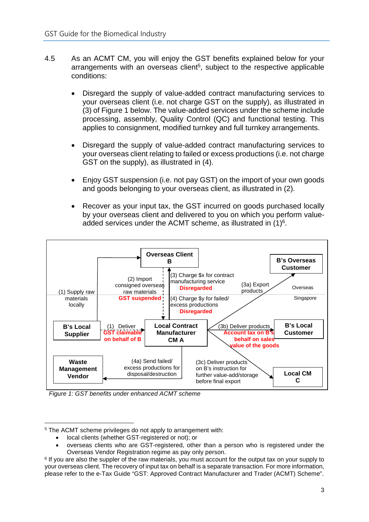- 4.5 As an ACMT CM, you will enjoy the GST benefits explained below for your arrangements with an overseas client<sup>5</sup>, subject to the respective applicable conditions:
	- Disregard the supply of value-added contract manufacturing services to your overseas client (i.e. not charge GST on the supply), as illustrated in (3) of Figure 1 below. The value-added services under the scheme include processing, assembly, Quality Control (QC) and functional testing. This applies to consignment, modified turnkey and full turnkey arrangements.
	- Disregard the supply of value-added contract manufacturing services to your overseas client relating to failed or excess productions (i.e. not charge GST on the supply), as illustrated in (4).
	- Enjoy GST suspension (i.e. not pay GST) on the import of your own goods and goods belonging to your overseas client, as illustrated in (2).
	- Recover as your input tax, the GST incurred on goods purchased locally by your overseas client and delivered to you on which you perform valueadded services under the ACMT scheme, as illustrated in  $(1)^6$ .



*Figure 1: GST benefits under enhanced ACMT scheme* 

- local clients (whether GST-registered or not); or
- overseas clients who are GST-registered, other than a person who is registered under the Overseas Vendor Registration regime as pay only person.

<sup>5</sup> The ACMT scheme privileges do not apply to arrangement with:

<sup>&</sup>lt;sup>6</sup> If you are also the suppler of the raw materials, you must account for the output tax on your supply to your overseas client. The recovery of input tax on behalf is a separate transaction. For more information, please refer to the e-Tax Guide "GST: Approved Contract Manufacturer and Trader (ACMT) Scheme".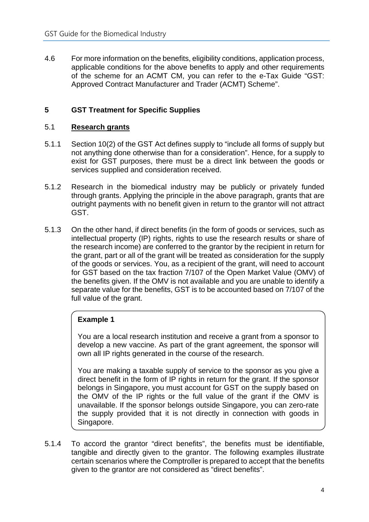4.6 For more information on the benefits, eligibility conditions, application process, applicable conditions for the above benefits to apply and other requirements of the scheme for an ACMT CM, you can refer to the e-Tax Guide "GST: Approved Contract Manufacturer and Trader (ACMT) Scheme".

# **5 GST Treatment for Specific Supplies**

#### 5.1 **Research grants**

- 5.1.1 Section 10(2) of the GST Act defines supply to "include all forms of supply but not anything done otherwise than for a consideration". Hence, for a supply to exist for GST purposes, there must be a direct link between the goods or services supplied and consideration received.
- 5.1.2 Research in the biomedical industry may be publicly or privately funded through grants. Applying the principle in the above paragraph, grants that are outright payments with no benefit given in return to the grantor will not attract GST.
- 5.1.3 On the other hand, if direct benefits (in the form of goods or services, such as intellectual property (IP) rights, rights to use the research results or share of the research income) are conferred to the grantor by the recipient in return for the grant, part or all of the grant will be treated as consideration for the supply of the goods or services. You, as a recipient of the grant, will need to account for GST based on the tax fraction 7/107 of the Open Market Value (OMV) of the benefits given. If the OMV is not available and you are unable to identify a separate value for the benefits, GST is to be accounted based on 7/107 of the full value of the grant.

#### **Example 1**

You are a local research institution and receive a grant from a sponsor to develop a new vaccine. As part of the grant agreement, the sponsor will own all IP rights generated in the course of the research.

You are making a taxable supply of service to the sponsor as you give a direct benefit in the form of IP rights in return for the grant. If the sponsor belongs in Singapore, you must account for GST on the supply based on the OMV of the IP rights or the full value of the grant if the OMV is unavailable. If the sponsor belongs outside Singapore, you can zero-rate the supply provided that it is not directly in connection with goods in Singapore.

5.1.4 To accord the grantor "direct benefits", the benefits must be identifiable, tangible and directly given to the grantor. The following examples illustrate certain scenarios where the Comptroller is prepared to accept that the benefits given to the grantor are not considered as "direct benefits".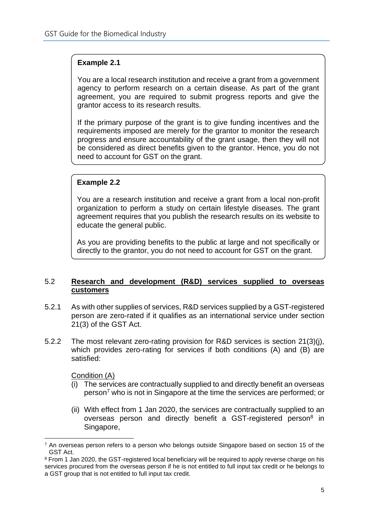# **Example 2.1**

You are a local research institution and receive a grant from a government agency to perform research on a certain disease. As part of the grant agreement, you are required to submit progress reports and give the grantor access to its research results.

If the primary purpose of the grant is to give funding incentives and the requirements imposed are merely for the grantor to monitor the research progress and ensure accountability of the grant usage, then they will not be considered as direct benefits given to the grantor. Hence, you do not need to account for GST on the grant.

### **Example 2.2**

You are a research institution and receive a grant from a local non-profit organization to perform a study on certain lifestyle diseases. The grant agreement requires that you publish the research results on its website to educate the general public.

As you are providing benefits to the public at large and not specifically or directly to the grantor, you do not need to account for GST on the grant.

#### 5.2 **Research and development (R&D) services supplied to overseas customers**

- 5.2.1 As with other supplies of services, R&D services supplied by a GST-registered person are zero-rated if it qualifies as an international service under section 21(3) of the GST Act.
- 5.2.2 The most relevant zero-rating provision for R&D services is section 21(3)(j), which provides zero-rating for services if both conditions (A) and (B) are satisfied:

Condition (A)

- (i) The services are contractually supplied to and directly benefit an overseas person<sup>7</sup> who is not in Singapore at the time the services are performed; or
- (ii) With effect from 1 Jan 2020, the services are contractually supplied to an overseas person and directly benefit a GST-registered person<sup>8</sup> in Singapore,

<sup>&</sup>lt;sup>7</sup> An overseas person refers to a person who belongs outside Singapore based on section 15 of the GST Act.

<sup>&</sup>lt;sup>8</sup> From 1 Jan 2020, the GST-registered local beneficiary will be required to apply reverse charge on his services procured from the overseas person if he is not entitled to full input tax credit or he belongs to a GST group that is not entitled to full input tax credit.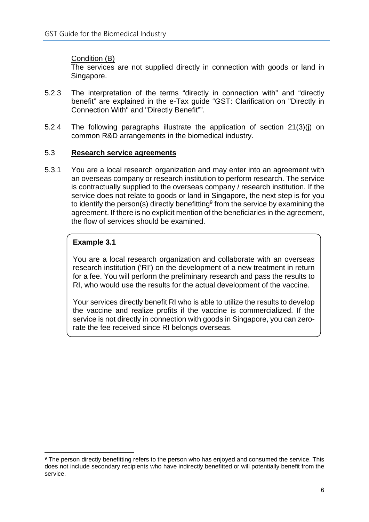### Condition (B)

The services are not supplied directly in connection with goods or land in Singapore.

- 5.2.3 The interpretation of the terms "directly in connection with" and "directly benefit" are explained in the e-Tax guide "GST: Clarification on "Directly in Connection With" and "Directly Benefit"".
- 5.2.4 The following paragraphs illustrate the application of section 21(3)(j) on common R&D arrangements in the biomedical industry.

#### 5.3 **Research service agreements**

5.3.1 You are a local research organization and may enter into an agreement with an overseas company or research institution to perform research. The service is contractually supplied to the overseas company / research institution. If the service does not relate to goods or land in Singapore, the next step is for you to identify the person(s) directly benefitting<sup>9</sup> from the service by examining the agreement. If there is no explicit mention of the beneficiaries in the agreement, the flow of services should be examined.

### **Example 3.1**

You are a local research organization and collaborate with an overseas research institution ('RI') on the development of a new treatment in return for a fee. You will perform the preliminary research and pass the results to RI, who would use the results for the actual development of the vaccine.

Your services directly benefit RI who is able to utilize the results to develop the vaccine and realize profits if the vaccine is commercialized. If the service is not directly in connection with goods in Singapore, you can zerorate the fee received since RI belongs overseas.

<sup>&</sup>lt;sup>9</sup> The person directly benefitting refers to the person who has enjoyed and consumed the service. This does not include secondary recipients who have indirectly benefitted or will potentially benefit from the service.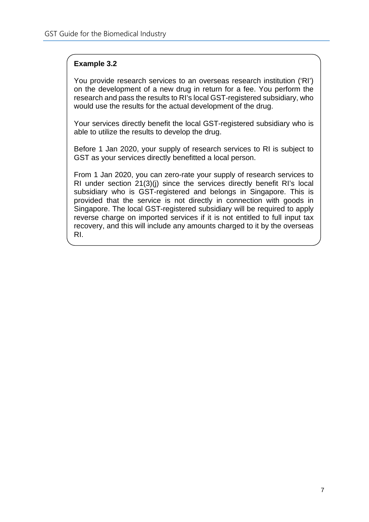# **Example 3.2**

You provide research services to an overseas research institution ('RI') on the development of a new drug in return for a fee. You perform the research and pass the results to RI's local GST-registered subsidiary, who would use the results for the actual development of the drug.

Your services directly benefit the local GST-registered subsidiary who is able to utilize the results to develop the drug.

Before 1 Jan 2020, your supply of research services to RI is subject to GST as your services directly benefitted a local person.

From 1 Jan 2020, you can zero-rate your supply of research services to RI under section 21(3)(j) since the services directly benefit RI's local subsidiary who is GST-registered and belongs in Singapore. This is provided that the service is not directly in connection with goods in Singapore. The local GST-registered subsidiary will be required to apply reverse charge on imported services if it is not entitled to full input tax recovery, and this will include any amounts charged to it by the overseas RI.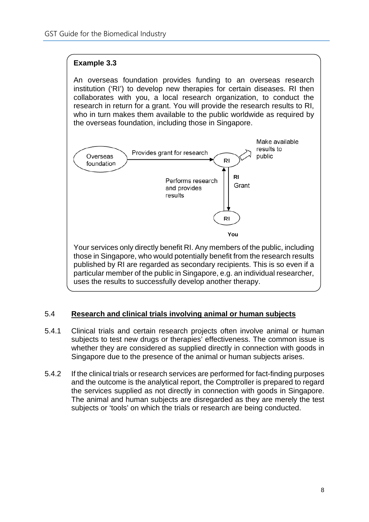# **Example 3.3**

An overseas foundation provides funding to an overseas research institution ('RI') to develop new therapies for certain diseases. RI then collaborates with you, a local research organization, to conduct the research in return for a grant. You will provide the research results to RI, who in turn makes them available to the public worldwide as required by the overseas foundation, including those in Singapore.



# 5.4 **Research and clinical trials involving animal or human subjects**

- 5.4.1 Clinical trials and certain research projects often involve animal or human subjects to test new drugs or therapies' effectiveness. The common issue is whether they are considered as supplied directly in connection with goods in Singapore due to the presence of the animal or human subjects arises.
- 5.4.2 If the clinical trials or research services are performed for fact-finding purposes and the outcome is the analytical report, the Comptroller is prepared to regard the services supplied as not directly in connection with goods in Singapore. The animal and human subjects are disregarded as they are merely the test subjects or 'tools' on which the trials or research are being conducted.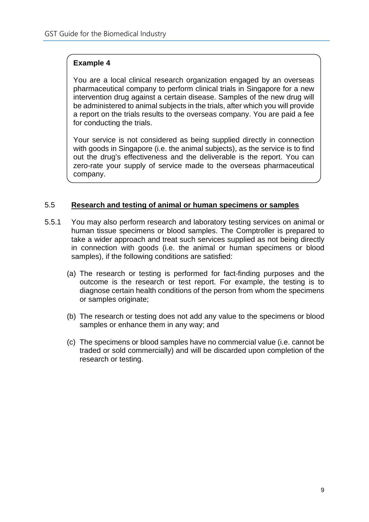You are a local clinical research organization engaged by an overseas pharmaceutical company to perform clinical trials in Singapore for a new intervention drug against a certain disease. Samples of the new drug will be administered to animal subjects in the trials, after which you will provide a report on the trials results to the overseas company. You are paid a fee for conducting the trials.

Your service is not considered as being supplied directly in connection with goods in Singapore (i.e. the animal subjects), as the service is to find out the drug's effectiveness and the deliverable is the report. You can zero-rate your supply of service made to the overseas pharmaceutical company.

### 5.5 **Research and testing of animal or human specimens or samples**

- 5.5.1 You may also perform research and laboratory testing services on animal or human tissue specimens or blood samples. The Comptroller is prepared to take a wider approach and treat such services supplied as not being directly in connection with goods (i.e. the animal or human specimens or blood samples), if the following conditions are satisfied:
	- (a) The research or testing is performed for fact-finding purposes and the outcome is the research or test report. For example, the testing is to diagnose certain health conditions of the person from whom the specimens or samples originate;
	- (b) The research or testing does not add any value to the specimens or blood samples or enhance them in any way; and
	- (c) The specimens or blood samples have no commercial value (i.e. cannot be traded or sold commercially) and will be discarded upon completion of the research or testing.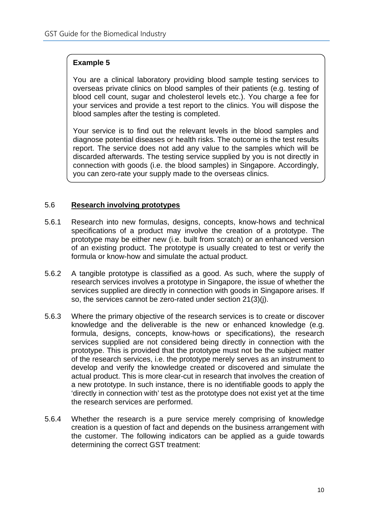You are a clinical laboratory providing blood sample testing services to overseas private clinics on blood samples of their patients (e.g. testing of blood cell count, sugar and cholesterol levels etc.). You charge a fee for your services and provide a test report to the clinics. You will dispose the blood samples after the testing is completed.

Your service is to find out the relevant levels in the blood samples and diagnose potential diseases or health risks. The outcome is the test results report. The service does not add any value to the samples which will be discarded afterwards. The testing service supplied by you is not directly in connection with goods (i.e. the blood samples) in Singapore. Accordingly, you can zero-rate your supply made to the overseas clinics.

#### 5.6 **Research involving prototypes**

- 5.6.1 Research into new formulas, designs, concepts, know-hows and technical specifications of a product may involve the creation of a prototype. The prototype may be either new (i.e. built from scratch) or an enhanced version of an existing product. The prototype is usually created to test or verify the formula or know-how and simulate the actual product.
- 5.6.2 A tangible prototype is classified as a good. As such, where the supply of research services involves a prototype in Singapore, the issue of whether the services supplied are directly in connection with goods in Singapore arises. If so, the services cannot be zero-rated under section 21(3)(j).
- 5.6.3 Where the primary objective of the research services is to create or discover knowledge and the deliverable is the new or enhanced knowledge (e.g. formula, designs, concepts, know-hows or specifications), the research services supplied are not considered being directly in connection with the prototype. This is provided that the prototype must not be the subject matter of the research services, i.e. the prototype merely serves as an instrument to develop and verify the knowledge created or discovered and simulate the actual product. This is more clear-cut in research that involves the creation of a new prototype. In such instance, there is no identifiable goods to apply the 'directly in connection with' test as the prototype does not exist yet at the time the research services are performed.
- 5.6.4 Whether the research is a pure service merely comprising of knowledge creation is a question of fact and depends on the business arrangement with the customer. The following indicators can be applied as a guide towards determining the correct GST treatment: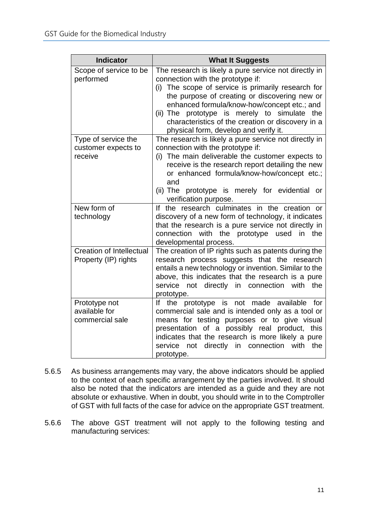| <b>Indicator</b>                                        | <b>What It Suggests</b>                                                                                                                                                                                                                                                                                                                                                                           |
|---------------------------------------------------------|---------------------------------------------------------------------------------------------------------------------------------------------------------------------------------------------------------------------------------------------------------------------------------------------------------------------------------------------------------------------------------------------------|
| Scope of service to be<br>performed                     | The research is likely a pure service not directly in<br>connection with the prototype if:<br>The scope of service is primarily research for<br>(i)<br>the purpose of creating or discovering new or<br>enhanced formula/know-how/concept etc.; and<br>(ii) The prototype is merely to simulate the<br>characteristics of the creation or discovery in a<br>physical form, develop and verify it. |
| Type of service the<br>customer expects to<br>receive   | The research is likely a pure service not directly in<br>connection with the prototype if:<br>The main deliverable the customer expects to<br>(i)<br>receive is the research report detailing the new<br>or enhanced formula/know-how/concept etc.;<br>and<br>(ii) The prototype is merely for evidential<br>or<br>verification purpose.                                                          |
| New form of<br>technology                               | If the research culminates in the creation or<br>discovery of a new form of technology, it indicates<br>that the research is a pure service not directly in<br>with the prototype<br>connection<br>used<br>in<br>the<br>developmental process.                                                                                                                                                    |
| <b>Creation of Intellectual</b><br>Property (IP) rights | The creation of IP rights such as patents during the<br>research process suggests that the research<br>entails a new technology or invention. Similar to the<br>above, this indicates that the research is a pure<br>not directly in connection<br>service<br>with<br>the<br>prototype.                                                                                                           |
| Prototype not<br>available for<br>commercial sale       | prototype is not made available<br>If the<br>for<br>commercial sale and is intended only as a tool or<br>means for testing purposes or to give visual<br>presentation of a possibly real product, this<br>indicates that the research is more likely a pure<br>directly<br>in connection<br>service<br>not<br>with<br>the<br>prototype.                                                           |

- 5.6.5 As business arrangements may vary, the above indicators should be applied to the context of each specific arrangement by the parties involved. It should also be noted that the indicators are intended as a guide and they are not absolute or exhaustive. When in doubt, you should write in to the Comptroller of GST with full facts of the case for advice on the appropriate GST treatment.
- 5.6.6 The above GST treatment will not apply to the following testing and manufacturing services: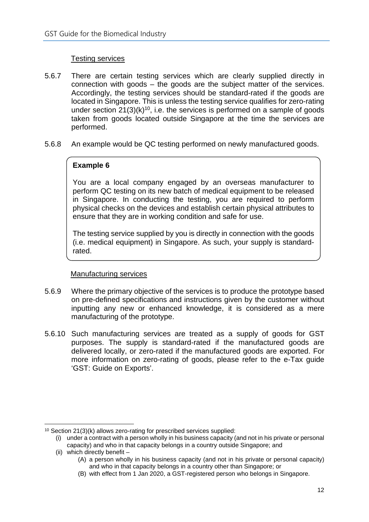# Testing services

- 5.6.7 There are certain testing services which are clearly supplied directly in connection with goods – the goods are the subject matter of the services. Accordingly, the testing services should be standard-rated if the goods are located in Singapore. This is unless the testing service qualifies for zero-rating under section  $21(3)(k)^{10}$ , i.e. the services is performed on a sample of goods taken from goods located outside Singapore at the time the services are performed.
- 5.6.8 An example would be QC testing performed on newly manufactured goods.

# **Example 6**

You are a local company engaged by an overseas manufacturer to perform QC testing on its new batch of medical equipment to be released in Singapore. In conducting the testing, you are required to perform physical checks on the devices and establish certain physical attributes to ensure that they are in working condition and safe for use.

The testing service supplied by you is directly in connection with the goods (i.e. medical equipment) in Singapore. As such, your supply is standardrated.

#### Manufacturing services

- 5.6.9 Where the primary objective of the services is to produce the prototype based on pre-defined specifications and instructions given by the customer without inputting any new or enhanced knowledge, it is considered as a mere manufacturing of the prototype.
- 5.6.10 Such manufacturing services are treated as a supply of goods for GST purposes. The supply is standard-rated if the manufactured goods are delivered locally, or zero-rated if the manufactured goods are exported. For more information on zero-rating of goods, please refer to the e-Tax guide 'GST: Guide on Exports'.

(ii) which directly benefit –

<sup>10</sup> Section 21(3)(k) allows zero-rating for prescribed services supplied:

<sup>(</sup>i) under a contract with a person wholly in his business capacity (and not in his private or personal capacity) and who in that capacity belongs in a country outside Singapore; and

<sup>(</sup>A) a person wholly in his business capacity (and not in his private or personal capacity) and who in that capacity belongs in a country other than Singapore; or

<sup>(</sup>B) with effect from 1 Jan 2020, a GST-registered person who belongs in Singapore.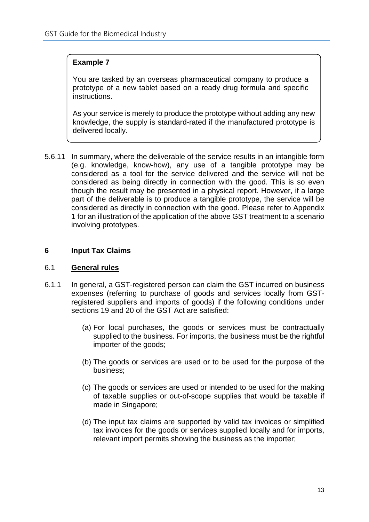You are tasked by an overseas pharmaceutical company to produce a prototype of a new tablet based on a ready drug formula and specific instructions.

As your service is merely to produce the prototype without adding any new knowledge, the supply is standard-rated if the manufactured prototype is delivered locally.

5.6.11 In summary, where the deliverable of the service results in an intangible form (e.g. knowledge, know-how), any use of a tangible prototype may be considered as a tool for the service delivered and the service will not be considered as being directly in connection with the good. This is so even though the result may be presented in a physical report. However, if a large part of the deliverable is to produce a tangible prototype, the service will be considered as directly in connection with the good. Please refer to Appendix 1 for an illustration of the application of the above GST treatment to a scenario involving prototypes.

#### **6 Input Tax Claims**

#### 6.1 **General rules**

- 6.1.1 In general, a GST-registered person can claim the GST incurred on business expenses (referring to purchase of goods and services locally from GSTregistered suppliers and imports of goods) if the following conditions under sections 19 and 20 of the GST Act are satisfied:
	- (a) For local purchases, the goods or services must be contractually supplied to the business. For imports, the business must be the rightful importer of the goods;
	- (b) The goods or services are used or to be used for the purpose of the business;
	- (c) The goods or services are used or intended to be used for the making of taxable supplies or out-of-scope supplies that would be taxable if made in Singapore;
	- (d) The input tax claims are supported by valid tax invoices or simplified tax invoices for the goods or services supplied locally and for imports, relevant import permits showing the business as the importer;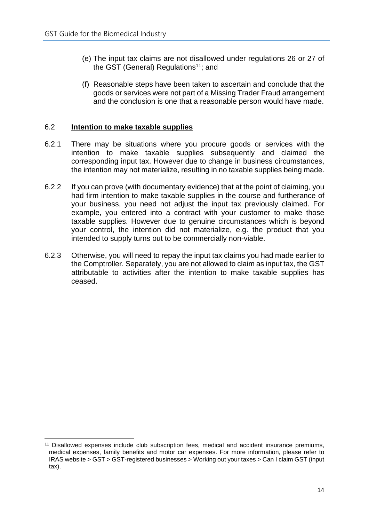- (e) The input tax claims are not disallowed under regulations 26 or 27 of the GST (General) Regulations<sup>11</sup>; and
- (f) Reasonable steps have been taken to ascertain and conclude that the goods or services were not part of a Missing Trader Fraud arrangement and the conclusion is one that a reasonable person would have made.

#### 6.2 **Intention to make taxable supplies**

- 6.2.1 There may be situations where you procure goods or services with the intention to make taxable supplies subsequently and claimed the corresponding input tax. However due to change in business circumstances, the intention may not materialize, resulting in no taxable supplies being made.
- 6.2.2 If you can prove (with documentary evidence) that at the point of claiming, you had firm intention to make taxable supplies in the course and furtherance of your business, you need not adjust the input tax previously claimed. For example, you entered into a contract with your customer to make those taxable supplies. However due to genuine circumstances which is beyond your control, the intention did not materialize, e.g. the product that you intended to supply turns out to be commercially non-viable.
- 6.2.3 Otherwise, you will need to repay the input tax claims you had made earlier to the Comptroller. Separately, you are not allowed to claim as input tax, the GST attributable to activities after the intention to make taxable supplies has ceased.

<sup>&</sup>lt;sup>11</sup> Disallowed expenses include club subscription fees, medical and accident insurance premiums, medical expenses, family benefits and motor car expenses. For more information, please refer to IRAS website > GST > GST-registered businesses > Working out your taxes > Can I claim GST (input tax).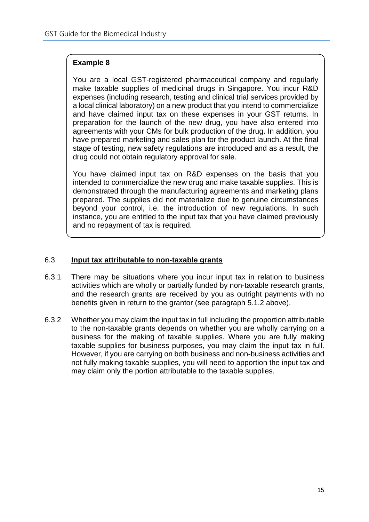You are a local GST-registered pharmaceutical company and regularly make taxable supplies of medicinal drugs in Singapore. You incur R&D expenses (including research, testing and clinical trial services provided by a local clinical laboratory) on a new product that you intend to commercialize and have claimed input tax on these expenses in your GST returns. In preparation for the launch of the new drug, you have also entered into agreements with your CMs for bulk production of the drug. In addition, you have prepared marketing and sales plan for the product launch. At the final stage of testing, new safety regulations are introduced and as a result, the drug could not obtain regulatory approval for sale.

You have claimed input tax on R&D expenses on the basis that you intended to commercialize the new drug and make taxable supplies. This is demonstrated through the manufacturing agreements and marketing plans prepared. The supplies did not materialize due to genuine circumstances beyond your control, i.e. the introduction of new regulations. In such instance, you are entitled to the input tax that you have claimed previously and no repayment of tax is required.

#### 6.3 **Input tax attributable to non-taxable grants**

- 6.3.1 There may be situations where you incur input tax in relation to business activities which are wholly or partially funded by non-taxable research grants, and the research grants are received by you as outright payments with no benefits given in return to the grantor (see paragraph 5.1.2 above).
- 6.3.2 Whether you may claim the input tax in full including the proportion attributable to the non-taxable grants depends on whether you are wholly carrying on a business for the making of taxable supplies. Where you are fully making taxable supplies for business purposes, you may claim the input tax in full. However, if you are carrying on both business and non-business activities and not fully making taxable supplies, you will need to apportion the input tax and may claim only the portion attributable to the taxable supplies.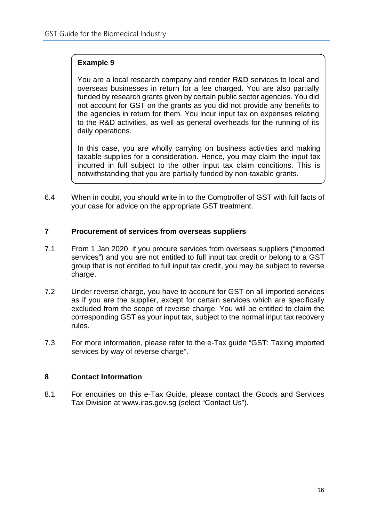You are a local research company and render R&D services to local and overseas businesses in return for a fee charged. You are also partially funded by research grants given by certain public sector agencies. You did not account for GST on the grants as you did not provide any benefits to the agencies in return for them. You incur input tax on expenses relating to the R&D activities, as well as general overheads for the running of its daily operations.

In this case, you are wholly carrying on business activities and making taxable supplies for a consideration. Hence, you may claim the input tax incurred in full subject to the other input tax claim conditions. This is notwithstanding that you are partially funded by non-taxable grants.

6.4 When in doubt, you should write in to the Comptroller of GST with full facts of your case for advice on the appropriate GST treatment.

#### **7 Procurement of services from overseas suppliers**

- 7.1 From 1 Jan 2020, if you procure services from overseas suppliers ("imported services") and you are not entitled to full input tax credit or belong to a GST group that is not entitled to full input tax credit, you may be subject to reverse charge.
- 7.2 Under reverse charge, you have to account for GST on all imported services as if you are the supplier, except for certain services which are specifically excluded from the scope of reverse charge. You will be entitled to claim the corresponding GST as your input tax, subject to the normal input tax recovery rules.
- 7.3 For more information, please refer to the e-Tax guide "GST: Taxing imported services by way of reverse charge".

# **8 Contact Information**

8.1 For enquiries on this e-Tax Guide, please contact the Goods and Services Tax Division at www.iras.gov.sg (select "Contact Us").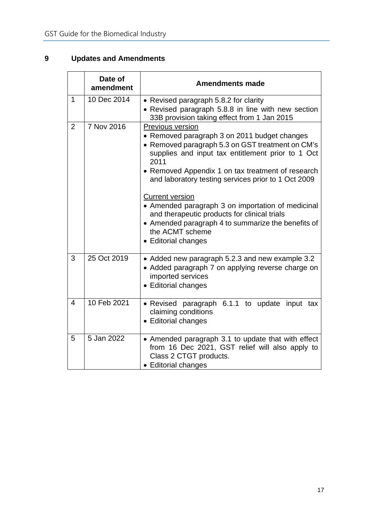# **9 Updates and Amendments**

|                | Date of<br>amendment | <b>Amendments made</b>                                                                                                                                                                                                                                                                                                                                                                                                                                                                                                       |  |  |
|----------------|----------------------|------------------------------------------------------------------------------------------------------------------------------------------------------------------------------------------------------------------------------------------------------------------------------------------------------------------------------------------------------------------------------------------------------------------------------------------------------------------------------------------------------------------------------|--|--|
| $\overline{1}$ | 10 Dec 2014          | • Revised paragraph 5.8.2 for clarity<br>• Revised paragraph 5.8.8 in line with new section<br>33B provision taking effect from 1 Jan 2015                                                                                                                                                                                                                                                                                                                                                                                   |  |  |
| $\overline{2}$ | 7 Nov 2016           | Previous version<br>• Removed paragraph 3 on 2011 budget changes<br>• Removed paragraph 5.3 on GST treatment on CM's<br>supplies and input tax entitlement prior to 1 Oct<br>2011<br>• Removed Appendix 1 on tax treatment of research<br>and laboratory testing services prior to 1 Oct 2009<br><b>Current version</b><br>• Amended paragraph 3 on importation of medicinal<br>and therapeutic products for clinical trials<br>• Amended paragraph 4 to summarize the benefits of<br>the ACMT scheme<br>• Editorial changes |  |  |
| 3              | 25 Oct 2019          | • Added new paragraph 5.2.3 and new example 3.2<br>• Added paragraph 7 on applying reverse charge on<br>imported services<br>• Editorial changes                                                                                                                                                                                                                                                                                                                                                                             |  |  |
| $\overline{4}$ | 10 Feb 2021          | · Revised paragraph 6.1.1 to update input<br>tax<br>claiming conditions<br>• Editorial changes                                                                                                                                                                                                                                                                                                                                                                                                                               |  |  |
| 5              | 5 Jan 2022           | • Amended paragraph 3.1 to update that with effect<br>from 16 Dec 2021, GST relief will also apply to<br>Class 2 CTGT products.<br>• Editorial changes                                                                                                                                                                                                                                                                                                                                                                       |  |  |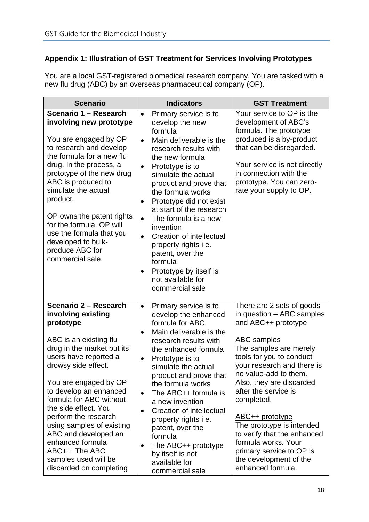# **Appendix 1: Illustration of GST Treatment for Services Involving Prototypes**

You are a local GST-registered biomedical research company. You are tasked with a new flu drug (ABC) by an overseas pharmaceutical company (OP).

| <b>Scenario</b>                                                                                                                                                                                                                                                                                                                                                                                                                              | <b>Indicators</b>                                                                                                                                                                                                                                                                                                                                                                                                                                                                                                                                  | <b>GST Treatment</b>                                                                                                                                                                                                                                                                                                                                                                                                                                                |
|----------------------------------------------------------------------------------------------------------------------------------------------------------------------------------------------------------------------------------------------------------------------------------------------------------------------------------------------------------------------------------------------------------------------------------------------|----------------------------------------------------------------------------------------------------------------------------------------------------------------------------------------------------------------------------------------------------------------------------------------------------------------------------------------------------------------------------------------------------------------------------------------------------------------------------------------------------------------------------------------------------|---------------------------------------------------------------------------------------------------------------------------------------------------------------------------------------------------------------------------------------------------------------------------------------------------------------------------------------------------------------------------------------------------------------------------------------------------------------------|
| Scenario 1 - Research<br>involving new prototype<br>You are engaged by OP<br>to research and develop<br>the formula for a new flu<br>drug. In the process, a<br>prototype of the new drug<br>ABC is produced to<br>simulate the actual<br>product.<br>OP owns the patent rights<br>for the formula. OP will<br>use the formula that you<br>developed to bulk-<br>produce ABC for<br>commercial sale.                                         | Primary service is to<br>$\bullet$<br>develop the new<br>formula<br>Main deliverable is the<br>$\bullet$<br>research results with<br>the new formula<br>Prototype is to<br>$\bullet$<br>simulate the actual<br>product and prove that<br>the formula works<br>Prototype did not exist<br>$\bullet$<br>at start of the research<br>The formula is a new<br>$\bullet$<br>invention<br>Creation of intellectual<br>$\bullet$<br>property rights i.e.<br>patent, over the<br>formula<br>Prototype by itself is<br>not available for<br>commercial sale | Your service to OP is the<br>development of ABC's<br>formula. The prototype<br>produced is a by-product<br>that can be disregarded.<br>Your service is not directly<br>in connection with the<br>prototype. You can zero-<br>rate your supply to OP.                                                                                                                                                                                                                |
| Scenario 2 - Research<br>involving existing<br>prototype<br>ABC is an existing flu<br>drug in the market but its<br>users have reported a<br>drowsy side effect.<br>You are engaged by OP<br>to develop an enhanced<br>formula for ABC without<br>the side effect. You<br>perform the research<br>using samples of existing<br>ABC and developed an<br>enhanced formula<br>ABC++. The ABC<br>samples used will be<br>discarded on completing | Primary service is to<br>$\bullet$<br>develop the enhanced<br>formula for ABC<br>Main deliverable is the<br>$\bullet$<br>research results with<br>the enhanced formula<br>Prototype is to<br>$\bullet$<br>simulate the actual<br>product and prove that<br>the formula works<br>The ABC++ formula is<br>$\bullet$<br>a new invention<br>Creation of intellectual<br>$\bullet$<br>property rights i.e.<br>patent, over the<br>formula<br>The ABC++ prototype<br>$\bullet$<br>by itself is not<br>available for<br>commercial sale                   | There are 2 sets of goods<br>in question - ABC samples<br>and ABC++ prototype<br><b>ABC</b> samples<br>The samples are merely<br>tools for you to conduct<br>your research and there is<br>no value-add to them.<br>Also, they are discarded<br>after the service is<br>completed.<br>ABC++ prototype<br>The prototype is intended<br>to verify that the enhanced<br>formula works. Your<br>primary service to OP is<br>the development of the<br>enhanced formula. |